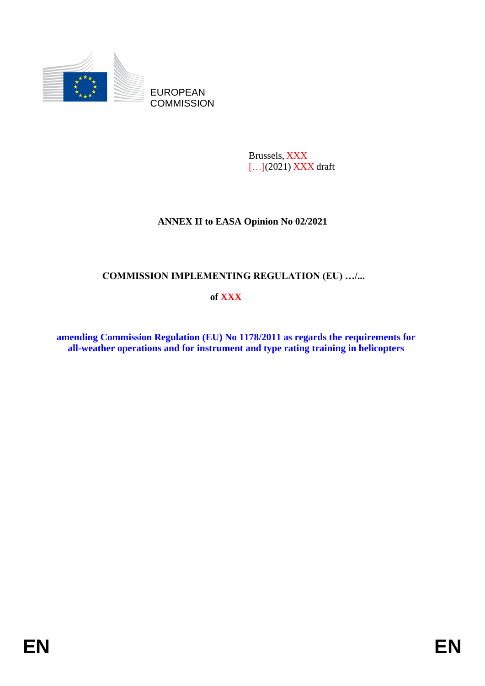

Brussels, XXX [...](2021) **XXX** draft

# **ANNEX II to EASA Opinion No 02/2021**

## **COMMISSION IMPLEMENTING REGULATION (EU) …/...**

## **of XXX**

**amending Commission Regulation (EU) No 1178/2011 as regards the requirements for all-weather operations and for instrument and type rating training in helicopters**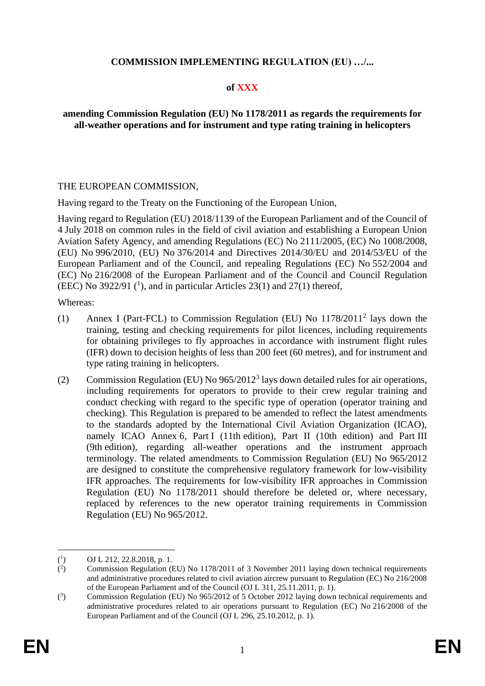## **COMMISSION IMPLEMENTING REGULATION (EU) …/...**

#### **of XXX**

## **amending Commission Regulation (EU) No 1178/2011 as regards the requirements for all-weather operations and for instrument and type rating training in helicopters**

#### THE EUROPEAN COMMISSION,

Having regard to the Treaty on the Functioning of the European Union,

Having regard to Regulation (EU) 2018/1139 of the European Parliament and of the Council of 4 July 2018 on common rules in the field of civil aviation and establishing a European Union Aviation Safety Agency, and amending Regulations (EC) No 2111/2005, (EC) No 1008/2008, (EU) No 996/2010, (EU) No 376/2014 and Directives 2014/30/EU and 2014/53/EU of the European Parliament and of the Council, and repealing Regulations (EC) No 552/2004 and (EC) No 216/2008 of the European Parliament and of the Council and Council Regulation (EEC) No 3922/91  $(1)$ , and in particular Articles 23(1) and 27(1) thereof,

Whereas:

- (1) Annex I (Part-FCL) to Commission Regulation (EU) No 1178/2011<sup>2</sup> lays down the training, testing and checking requirements for pilot licences, including requirements for obtaining privileges to fly approaches in accordance with instrument flight rules (IFR) down to decision heights of less than 200 feet (60 metres), and for instrument and type rating training in helicopters.
- (2) Commission Regulation (EU) No  $965/2012<sup>3</sup>$  lays down detailed rules for air operations, including requirements for operators to provide to their crew regular training and conduct checking with regard to the specific type of operation (operator training and checking). This Regulation is prepared to be amended to reflect the latest amendments to the standards adopted by the International Civil Aviation Organization (ICAO), namely ICAO Annex 6, Part I (11th edition), Part II (10th edition) and Part III (9th edition), regarding all-weather operations and the instrument approach terminology. The related amendments to Commission Regulation (EU) No 965/2012 are designed to constitute the comprehensive regulatory framework for low-visibility IFR approaches. The requirements for low-visibility IFR approaches in Commission Regulation (EU) No 1178/2011 should therefore be deleted or, where necessary, replaced by references to the new operator training requirements in Commission Regulation (EU) No 965/2012.

 $(^1$ ) OJ L 212, 22.8.2018, p. 1.

 $($ <sup>2</sup> ) Commission Regulation (EU) No 1178/2011 of 3 November 2011 laying down technical requirements and administrative procedures related to civil aviation aircrew pursuant to Regulation (EC) No 216/2008 of the European Parliament and of the Council (OJ L 311, 25.11.2011, p. 1).

 $(3)$ ) Commission Regulation (EU) No 965/2012 of 5 October 2012 laying down technical requirements and administrative procedures related to air operations pursuant to Regulation (EC) No 216/2008 of the European Parliament and of the Council (OJ L 296, 25.10.2012, p. 1).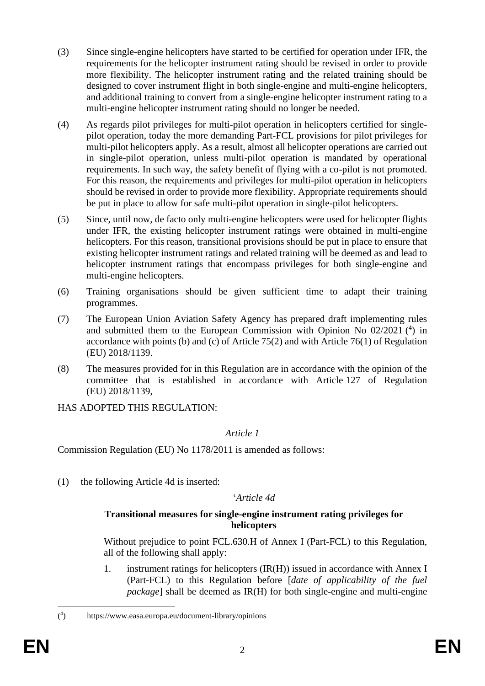- (3) Since single-engine helicopters have started to be certified for operation under IFR, the requirements for the helicopter instrument rating should be revised in order to provide more flexibility. The helicopter instrument rating and the related training should be designed to cover instrument flight in both single-engine and multi-engine helicopters, and additional training to convert from a single-engine helicopter instrument rating to a multi-engine helicopter instrument rating should no longer be needed.
- (4) As regards pilot privileges for multi-pilot operation in helicopters certified for singlepilot operation, today the more demanding Part-FCL provisions for pilot privileges for multi-pilot helicopters apply. As a result, almost all helicopter operations are carried out in single-pilot operation, unless multi-pilot operation is mandated by operational requirements. In such way, the safety benefit of flying with a co-pilot is not promoted. For this reason, the requirements and privileges for multi-pilot operation in helicopters should be revised in order to provide more flexibility. Appropriate requirements should be put in place to allow for safe multi-pilot operation in single-pilot helicopters.
- (5) Since, until now, de facto only multi-engine helicopters were used for helicopter flights under IFR, the existing helicopter instrument ratings were obtained in multi-engine helicopters. For this reason, transitional provisions should be put in place to ensure that existing helicopter instrument ratings and related training will be deemed as and lead to helicopter instrument ratings that encompass privileges for both single-engine and multi-engine helicopters.
- (6) Training organisations should be given sufficient time to adapt their training programmes.
- (7) The European Union Aviation Safety Agency has prepared draft implementing rules and submitted them to the European Commission with Opinion No 02/2021 (<sup>4</sup>) in accordance with points (b) and (c) of Article 75(2) and with Article 76(1) of Regulation (EU) 2018/1139.
- (8) The measures provided for in this Regulation are in accordance with the opinion of the committee that is established in accordance with Article 127 of Regulation (EU) 2018/1139,

HAS ADOPTED THIS REGULATION:

## *Article 1*

Commission Regulation (EU) No 1178/2011 is amended as follows:

(1) the following Article 4d is inserted:

'*Article 4d*

#### **Transitional measures for single-engine instrument rating privileges for helicopters**

Without prejudice to point FCL.630.H of Annex I (Part-FCL) to this Regulation, all of the following shall apply:

1. instrument ratings for helicopters (IR(H)) issued in accordance with Annex I (Part-FCL) to this Regulation before [*date of applicability of the fuel package*] shall be deemed as IR(H) for both single-engine and multi-engine

 $($ <sup>4</sup> ) https://www.easa.europa.eu/document-library/opinions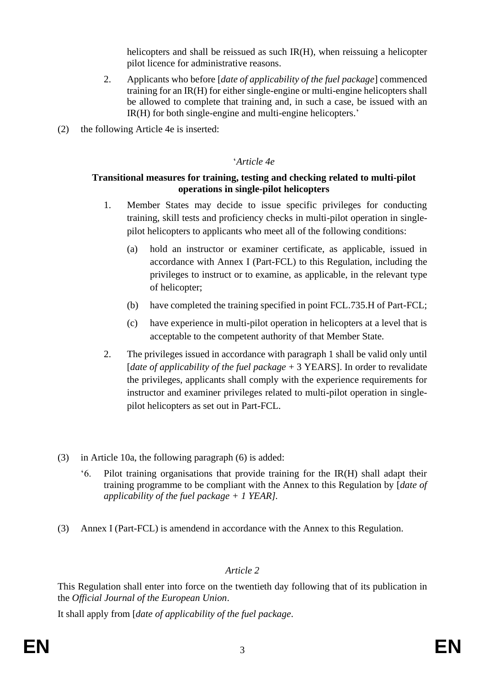helicopters and shall be reissued as such IR(H), when reissuing a helicopter pilot licence for administrative reasons.

- 2. Applicants who before [*date of applicability of the fuel package*] commenced training for an IR(H) for either single-engine or multi-engine helicopters shall be allowed to complete that training and, in such a case, be issued with an IR(H) for both single-engine and multi-engine helicopters.'
- (2) the following Article 4e is inserted:

## '*Article 4e*

## **Transitional measures for training, testing and checking related to multi-pilot operations in single-pilot helicopters**

- 1. Member States may decide to issue specific privileges for conducting training, skill tests and proficiency checks in multi-pilot operation in singlepilot helicopters to applicants who meet all of the following conditions:
	- (a) hold an instructor or examiner certificate, as applicable, issued in accordance with Annex I (Part-FCL) to this Regulation, including the privileges to instruct or to examine, as applicable, in the relevant type of helicopter;
	- (b) have completed the training specified in point FCL.735.H of Part-FCL;
	- (c) have experience in multi-pilot operation in helicopters at a level that is acceptable to the competent authority of that Member State.
- 2. The privileges issued in accordance with paragraph 1 shall be valid only until [*date of applicability of the fuel package* + 3 YEARS]. In order to revalidate the privileges, applicants shall comply with the experience requirements for instructor and examiner privileges related to multi-pilot operation in singlepilot helicopters as set out in Part-FCL.
- (3) in Article 10a, the following paragraph (6) is added:
	- '6. Pilot training organisations that provide training for the IR(H) shall adapt their training programme to be compliant with the Annex to this Regulation by [*date of applicability of the fuel package + 1 YEAR].*
- (3) Annex I (Part-FCL) is amendend in accordance with the Annex to this Regulation.

## *Article 2*

This Regulation shall enter into force on the twentieth day following that of its publication in the *Official Journal of the European Union*.

It shall apply from [*date of applicability of the fuel package*.